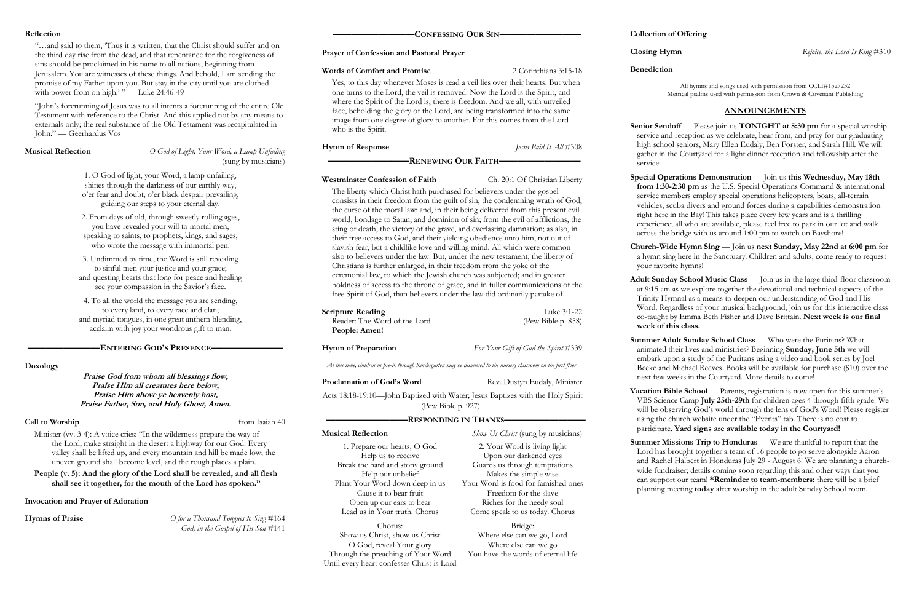# **Reflection**

"…and said to them, 'Thus it is written, that the Christ should suffer and on the third day rise from the dead, and that repentance for the forgiveness of sins should be proclaimed in his name to all nations, beginning from Jerusalem. You are witnesses of these things.And behold, I am sending the promise of my Father upon you. But stay in the city until you are clothed with power from on high.' " — Luke 24:46-49

"John's forerunning of Jesus was to all intents a forerunning of the entire Old Testament with reference to the Christ. And this applied not by any means to externals only; the real substance of the Old Testament was recapitulated in John." — Geerhardus Vos

**Musical Reflection** *O God of Light, Your Word, a Lamp Unfailing* (sung by musicians)

# **————————ENTERING GOD'S PRESENCE————————**

# **Doxology**

**Praise God from whom all blessings flow, Praise Him all creatures here below, Praise Him above ye heavenly host, Praise Father, Son, and Holy Ghost, Amen.**

# **Call to Worship** from Isaiah 40

Minister (vv. 3-4): A voice cries: "In the wilderness prepare the way of the Lord; make straight in the desert a highway for our God. Every valley shall be lifted up, and every mountain and hill be made low; the uneven ground shall become level, and the rough places a plain.

**People (v. 5): And the glory of the Lord shall be revealed, and all flesh shall see it together, for the mouth of the Lord has spoken."**

# **Invocation and Prayer of Adoration**

**Hymns of Praise** *O for a Thousand Tongues to Sing* #164 *God, in the Gospel of His Son* #141

# **—————————CONFESSING OUR SIN—————————**

## **Prayer of Confession and Pastoral Prayer**

# **Words of Comfort and Promise** 2 Corinthians 3:15-18

Yes, to this day whenever Moses is read a veil lies over their hearts. But when one turns to the Lord, the veil is removed. Now the Lord is the Spirit, and where the Spirit of the Lord is, there is freedom. And we all, with unveiled face, beholding the glory of the Lord, are being transformed into the same image from one degree of glory to another. For this comes from the Lord who is the Spirit.

**Senior Sendoff** — Please join us **TONIGHT** at 5:30 pm for a special worship service and reception as we celebrate, hear from, and pray for our graduating high school seniors, Mary Ellen Eudaly, Ben Forster, and Sarah Hill. We will gather in the Courtyard for a light dinner reception and fellowship after the

**Hymn of Response** *Jesus Paid It All* #308

# **—————————RENEWING OUR FAITH—————————**

# **Westminster Confession of Faith** Ch. 20:1 Of Christian Liberty

The liberty which Christ hath purchased for believers under the gospel consists in their freedom from the guilt of sin, the condemning wrath of God, the curse of the moral law; and, in their being delivered from this present evil world, bondage to Satan, and dominion of sin; from the evil of afflictions, the sting of death, the victory of the grave, and everlasting damnation; as also, in their free access to God, and their yielding obedience unto him, not out of slavish fear, but a childlike love and willing mind. All which were common also to believers under the law. But, under the new testament, the liberty of Christians is further enlarged, in their freedom from the yoke of the ceremonial law, to which the Jewish church was subjected; and in greater boldness of access to the throne of grace, and in fuller communications of the free Spirit of God, than believers under the law did ordinarily partake of.

> **Summer Adult Sunday School Class — Who were the Puritans? What** animated their lives and ministries? Beginning **Sunday, June 5th** we will embark upon a study of the Puritans using a video and book series by Joel Beeke and Michael Reeves. Books will be available for purchase (\$10) over the next few weeks in the Courtyard. More details to come!

> **Vacation Bible School** — Parents, registration is now open for this summer's VBS Science Camp **July 25th-29th** for children ages 4 through fifth grade! We will be observing God's world through the lens of God's Word! Please register using the church website under the "Events" tab. There is no cost to participate. **Yard signs are available today in the Courtyard!**

| <b>Scripture Reading</b>     | Luke 3:1-22           |
|------------------------------|-----------------------|
| Reader: The Word of the Lord | (Pew Bible $p. 858$ ) |
| People: Amen!                |                       |

**Summer Missions Trip to Honduras** — We are thankful to report that the Lord has brought together a team of 16 people to go serve alongside Aaron and Rachel Halbert in Honduras July 29 - August 6! We are planning a churchwide fundraiser; details coming soon regarding this and other ways that you can support our team! **\*Reminder to team-members:** there will be a brief planning meeting **today** after worship in the adult Sunday School room.

# **Hymn of Preparation** *For Your Gift of God the Spirit* #339

*At this time, children in pre-K through Kindergarten may be dismissed to the nursery classroom on the first floor.*

**Proclamation of God's Word** Rev. Dustyn Eudaly, Minister

Acts 18:18-19:10—John Baptized with Water; Jesus Baptizes with the Holy Spirit (Pew Bible p. 927)

# **—————————RESPONDING IN THANKS—————————**

# **Collection of Offering**

**Benediction**

All hymns and songs used with permission from CCLI#1527232 Metrical psalms used with permission from Crown & Covenant Publishing

# **ANNOUNCEMENTS**

# service.

**Special Operations Demonstration** — Join us **this Wednesday, May 18th from 1:30-2:30 pm** as the U.S. Special Operations Command & international service members employ special operations helicopters, boats, all-terrain vehicles, scuba divers and ground forces during a capabilities demonstration right here in the Bay! This takes place every few years and is a thrilling experience; all who are available, please feel free to park in our lot and walk across the bridge with us around 1:00 pm to watch on Bayshore!

**Church-Wide Hymn Sing** — Join us **next Sunday, May 22nd at 6:00 pm** for a hymn sing here in the Sanctuary. Children and adults, come ready to request

your favorite hymns!

**Adult Sunday School Music Class** — Join us in the large third-floor classroom at 9:15 am as we explore together the devotional and technical aspects of the Trinity Hymnal as a means to deepen our understanding of God and His Word. Regardless of your musical background, join us for this interactive class co-taught by Emma Beth Fisher and Dave Brittain. **Next week is our final** 

**week of this class.**

**Musical Reflection** *Show Us Christ* (sung by musicians) 2. Your Word is living light Upon our darkened eyes Guards us through temptations Makes the simple wise Your Word is food for famished ones Freedom for the slave Riches for the needy soul Come speak to us today. Chorus

1. O God of light, your Word, a lamp unfailing, shines through the darkness of our earthly way, o'er fear and doubt, o'er black despair prevailing, guiding our steps to your eternal day.

2. From days of old, through sweetly rolling ages, you have revealed your will to mortal men, speaking to saints, to prophets, kings, and sages, who wrote the message with immortal pen.

3. Undimmed by time, the Word is still revealing to sinful men your justice and your grace; and questing hearts that long for peace and healing see your compassion in the Savior's face.

4. To all the world the message you are sending, to every land, to every race and clan; and myriad tongues, in one great anthem blending, acclaim with joy your wondrous gift to man.

> 1. Prepare our hearts, O God Help us to receive Break the hard and stony ground Help our unbelief Plant Your Word down deep in us Cause it to bear fruit Open up our ears to hear Lead us in Your truth. Chorus

Chorus: Show us Christ, show us Christ O God, reveal Your glory Through the preaching of Your Word Until every heart confesses Christ is Lord

Bridge: Where else can we go, Lord Where else can we go You have the words of eternal life